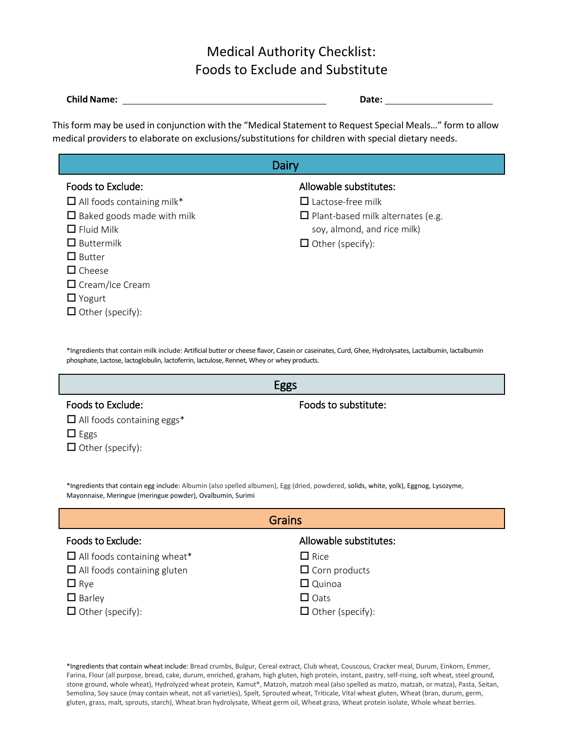# Medical Authority Checklist: Foods to Exclude and Substitute

| <b>Child Name:</b> | <b>Date:</b> |
|--------------------|--------------|
|                    |              |

This form may be used in conjunction with the "Medical Statement to Request Special Meals…" form to allow medical providers to elaborate on exclusions/substitutions for children with special dietary needs.

| Dairy                             |                                          |  |
|-----------------------------------|------------------------------------------|--|
| Foods to Exclude:                 | Allowable substitutes:                   |  |
| $\Box$ All foods containing milk* | $\Box$ Lactose-free milk                 |  |
| $\Box$ Baked goods made with milk | $\Box$ Plant-based milk alternates (e.g. |  |
| $\Box$ Fluid Milk                 | soy, almond, and rice milk)              |  |
| $\Box$ Buttermilk                 | $\Box$ Other (specify):                  |  |
| $\Box$ Butter                     |                                          |  |
| $\Box$ Cheese                     |                                          |  |
| $\Box$ Cream/Ice Cream            |                                          |  |
| $\Box$ Yogurt                     |                                          |  |
| $\Box$ Other (specify):           |                                          |  |

\*Ingredients that contain milk include: Artificial butter or cheese flavor[, Casein o](http://www.webmd.com/allergies/casein-allergy-overview)r caseinates, Curd, Ghee, Hydrolysates, Lactalbumin, lactalbumin phosphate, Lactose, lactoglobulin, lactoferrin[, lactulose, R](http://www.webmd.com/drugs/mono-7202-LACTULOSE%2B-%2BORAL%2c%2BRECTAL.aspx?drugid=3367&drugname=lactulose%2Boral)ennet, Whey or whey products.

| Foods to Exclude:                 | Foods to substitute: |
|-----------------------------------|----------------------|
| $\Box$ All foods containing eggs* |                      |
| $\Box$ Eggs                       |                      |
| $\Box$ Other (specify):           |                      |

\*Ingredients that contain egg include: Albumin (also spelled albumen), Egg (dried, powdered, solids, white, yolk), Eggnog, Lysozyme, Mayonnaise, Meringue (meringue powder), Ovalbumin, Surimi

| <b>Grains</b>                      |                         |  |
|------------------------------------|-------------------------|--|
| Foods to Exclude:                  | Allowable substitutes:  |  |
| $\Box$ All foods containing wheat* | $\Box$ Rice             |  |
| $\Box$ All foods containing gluten | $\Box$ Corn products    |  |
| $\Box$ Rye                         | $\Box$ Quinoa           |  |
| $\Box$ Barley                      | $\Box$ Oats             |  |
| $\Box$ Other (specify):            | $\Box$ Other (specify): |  |

\*Ingredients that contain wheat include: Bread crumbs, Bulgur, Cereal extract, Club wheat, Couscous, Cracker meal, Durum, Einkorn, Emmer, Farina, Flour (all purpose, bread, cake, durum, enriched, graham, high gluten, high protein, instant, pastry, self-rising, soft wheat, steel ground, stone ground, whole wheat), Hydrolyzed wheat protein, Kamut®, Matzoh, matzoh meal (also spelled as matzo, matzah, or matza), Pasta, Seitan, Semolina, Soy sauce (may contain wheat, not all varieties), Spelt, Sprouted wheat, Triticale, Vital wheat gluten, Wheat (bran, durum, germ, gluten, grass, malt, sprouts, starch), Wheat bran hydrolysate, Wheat germ oil, Wheat grass, Wheat protein isolate, Whole wheat berries.